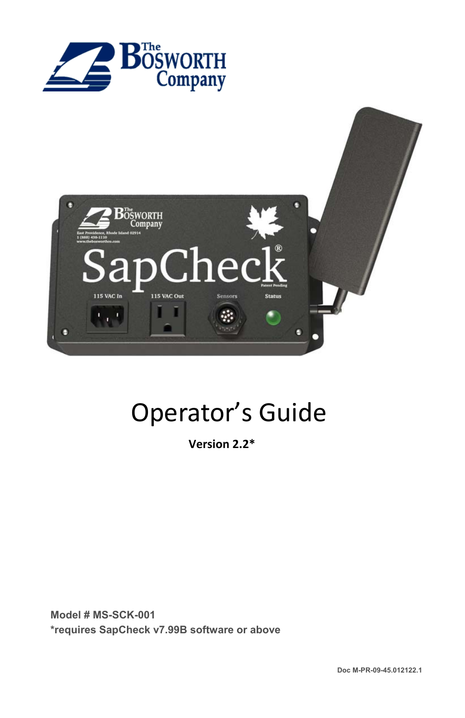



# Operator's Guide

**Version 2.2\*** 

**Model # MS-SCK-001 \*requires SapCheck v7.99B software or above**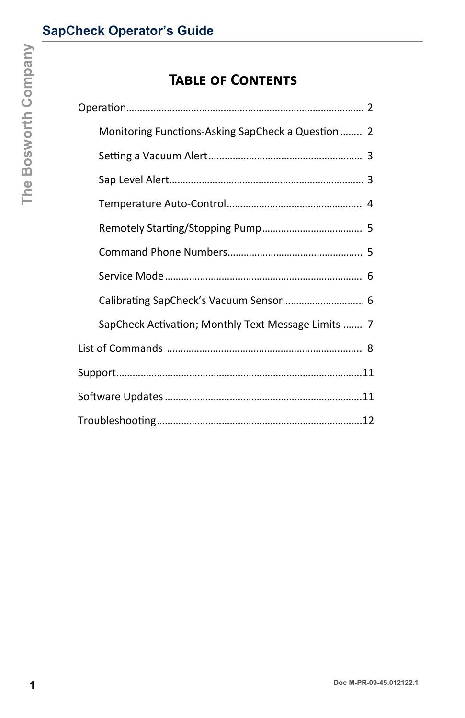## **TABLE OF CONTENTS**

| Monitoring Functions-Asking SapCheck a Question  2<br>Calibrating SapCheck's Vacuum Sensor 6<br>SapCheck Activation; Monthly Text Message Limits  7 | <b>TABLE OF CONTENTS</b> |  |
|-----------------------------------------------------------------------------------------------------------------------------------------------------|--------------------------|--|
|                                                                                                                                                     |                          |  |
|                                                                                                                                                     |                          |  |
|                                                                                                                                                     |                          |  |
|                                                                                                                                                     |                          |  |
|                                                                                                                                                     |                          |  |
|                                                                                                                                                     |                          |  |
|                                                                                                                                                     |                          |  |
|                                                                                                                                                     |                          |  |
|                                                                                                                                                     |                          |  |
|                                                                                                                                                     |                          |  |
|                                                                                                                                                     |                          |  |
|                                                                                                                                                     |                          |  |
|                                                                                                                                                     |                          |  |
|                                                                                                                                                     |                          |  |
|                                                                                                                                                     |                          |  |
|                                                                                                                                                     |                          |  |
|                                                                                                                                                     |                          |  |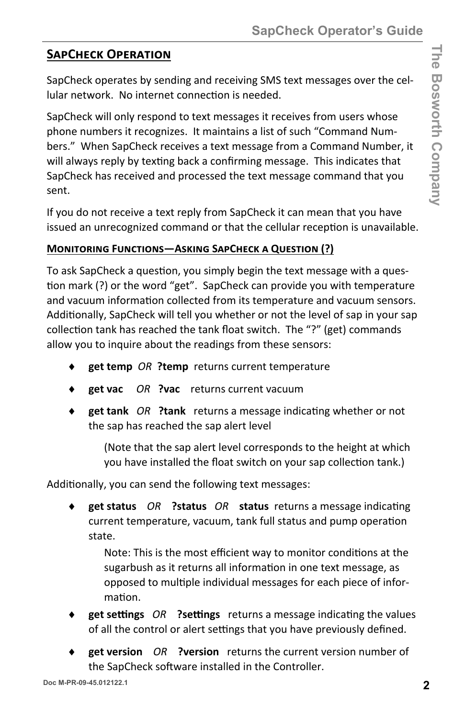### **SAPCHECK OPERATION**

SapCheck operates by sending and receiving SMS text messages over the cel‐ lular network. No internet connection is needed.

SapCheck will only respond to text messages it receives from users whose phone numbers it recognizes. It maintains a list of such "Command Num‐ bers." When SapCheck receives a text message from a Command Number, it will always reply by texting back a confirming message. This indicates that SapCheck has received and processed the text message command that you sent.

If you do not receive a text reply from SapCheck it can mean that you have issued an unrecognized command or that the cellular reception is unavailable.

#### **MONITORING FUNCTIONS—ASKING SAPCHECK A QUESTION (?)**

To ask SapCheck a question, you simply begin the text message with a question mark (?) or the word "get". SapCheck can provide you with temperature and vacuum information collected from its temperature and vacuum sensors. Additionally, SapCheck will tell you whether or not the level of sap in your sap collection tank has reached the tank float switch. The "?" (get) commands allow you to inquire about the readings from these sensors:

- **get temp** *OR* **?temp** returns current temperature
- **get vac** *OR* **?vac** returns current vacuum
- ◆ get tank OR ?tank returns a message indicating whether or not the sap has reached the sap alert level

(Note that the sap alert level corresponds to the height at which you have installed the float switch on your sap collection tank.)

Additionally, you can send the following text messages:

**get status** OR **?status** OR **status** returns a message indicating current temperature, vacuum, tank full status and pump operation state.

Note: This is the most efficient way to monitor conditions at the sugarbush as it returns all information in one text message, as opposed to multiple individual messages for each piece of information.

- **get settings** *OR* **?settings** returns a message indicating the values of all the control or alert settings that you have previously defined.
- **get version** *OR* **?version** returns the current version number of the SapCheck software installed in the Controller.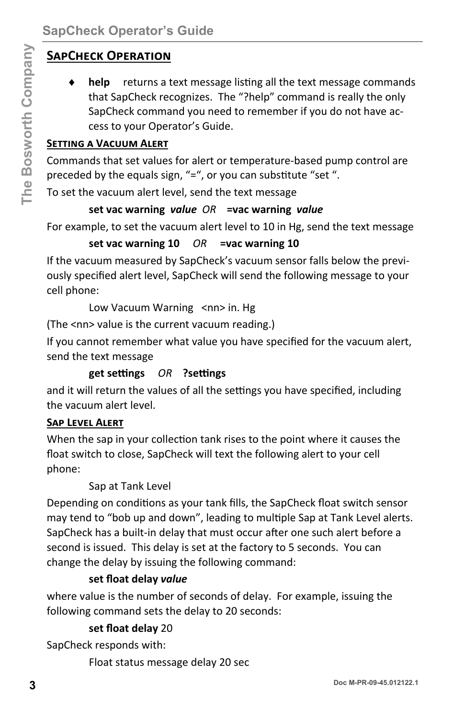## **SAPCHECK OPERATION**

**help** returns a text message listing all the text message commands that SapCheck recognizes. The "?help" command is really the only SapCheck command you need to remember if you do not have ac‐ cess to your Operator's Guide.

#### **SETTING A VACUUM ALERT**

Commands that set values for alert or temperature‐based pump control are preceded by the equals sign, "=", or you can substitute "set ".

To set the vacuum alert level, send the text message

#### **set vac warning** *value OR* **=vac warning** *value*

For example, to set the vacuum alert level to 10 in Hg, send the text message

#### **set vac warning 10** *OR* **=vac warning 10**

If the vacuum measured by SapCheck's vacuum sensor falls below the previ‐ ously specified alert level, SapCheck will send the following message to your cell phone:

Low Vacuum Warning <nn> in. Hg

(The <nn> value is the current vacuum reading.)

If you cannot remember what value you have specified for the vacuum alert, send the text message

#### **get seƫngs** *OR* **?seƫngs**

and it will return the values of all the settings you have specified, including the vacuum alert level.

#### **SAP LEVEL ALERT**

When the sap in your collection tank rises to the point where it causes the float switch to close, SapCheck will text the following alert to your cell phone:

Sap at Tank Level

Depending on conditions as your tank fills, the SapCheck float switch sensor may tend to "bob up and down", leading to multiple Sap at Tank Level alerts. SapCheck has a built-in delay that must occur after one such alert before a second is issued. This delay is set at the factory to 5 seconds. You can change the delay by issuing the following command: **3 SAPCHECK OPERATION**<br> **4 belp** returns a text message listing all the text message commands<br>
that SapCheck companies in a "ralep" command is really the endy<br> **3** SapCheck command you need to remember if you do not have

#### **set float delay** *value*

where value is the number of seconds of delay. For example, issuing the following command sets the delay to 20 seconds:

#### **set float delay** 20

SapCheck responds with:

Float status message delay 20 sec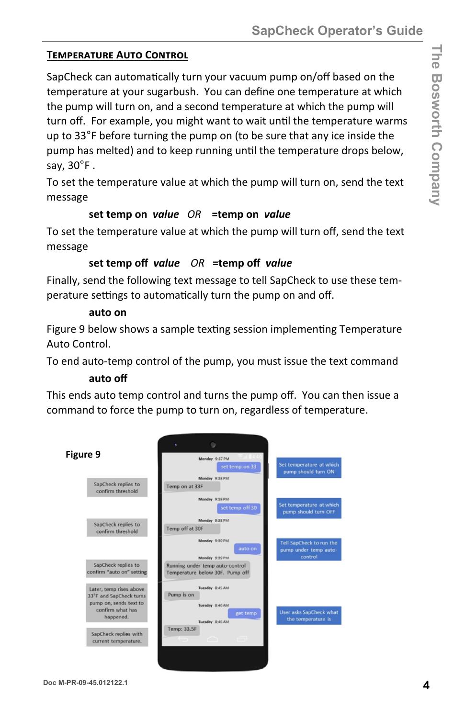#### **TEMPERATURE AUTO CONTROL**

SapCheck can automatically turn your vacuum pump on/off based on the temperature at your sugarbush. You can define one temperature at which the pump will turn on, and a second temperature at which the pump will turn off. For example, you might want to wait until the temperature warms up to 33°F before turning the pump on (to be sure that any ice inside the pump has melted) and to keep running until the temperature drops below, say,  $30^\circ$ F.

To set the temperature value at which the pump will turn on, send the text message

#### set temp on value OR = temp on value

To set the temperature value at which the pump will turn off, send the text message

#### set temp off value OR = temp off value

Finally, send the following text message to tell SapCheck to use these temperature settings to automatically turn the pump on and off.

#### auto on

Figure 9 below shows a sample texting session implementing Temperature Auto Control.

To end auto-temp control of the pump, you must issue the text command

#### auto off

This ends auto temp control and turns the pump off. You can then issue a command to force the pump to turn on, regardless of temperature.

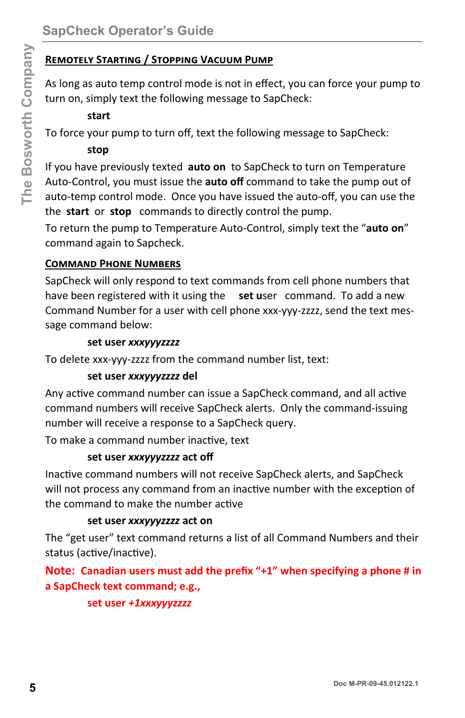## **REMOTELY STARTING / STOPPING VACUUM PUMP**

As long as auto temp control mode is not in effect, you can force your pump to turn on, simply text the following message to SapCheck:

#### start

To force your pump to turn off, text the following message to SapCheck:

#### stop

If you have previously texted auto on to SapCheck to turn on Temperature Auto-Control, you must issue the auto off command to take the pump out of auto-temp control mode. Once you have issued the auto-off, you can use the the start or stop commands to directly control the pump.

To return the pump to Temperature Auto-Control, simply text the "auto on" command again to Sapcheck.

#### **COMMAND PHONE NUMBERS**

SapCheck will only respond to text commands from cell phone numbers that have been registered with it using the set user command. To add a new Command Number for a user with cell phone xxx-yyy-zzzz, send the text message command below:

#### set user xxxyyyzzzz

To delete xxx-yyy-zzzz from the command number list, text:

#### set user xxxyyyzzzz del

Any active command number can issue a SapCheck command, and all active command numbers will receive SapCheck alerts. Only the command-issuing number will receive a response to a SapCheck query.

To make a command number inactive, text

#### set user xxxyyyzzzz act off

Inactive command numbers will not receive SapCheck alerts, and SapCheck will not process any command from an inactive number with the exception of the command to make the number active

#### set user xxxyyyzzzz act on

The "get user" text command returns a list of all Command Numbers and their status (active/inactive).

Note: Canadian users must add the prefix "+1" when specifying a phone # in a SapCheck text command; e.g.,

#### set user +1xxxyyyzzzz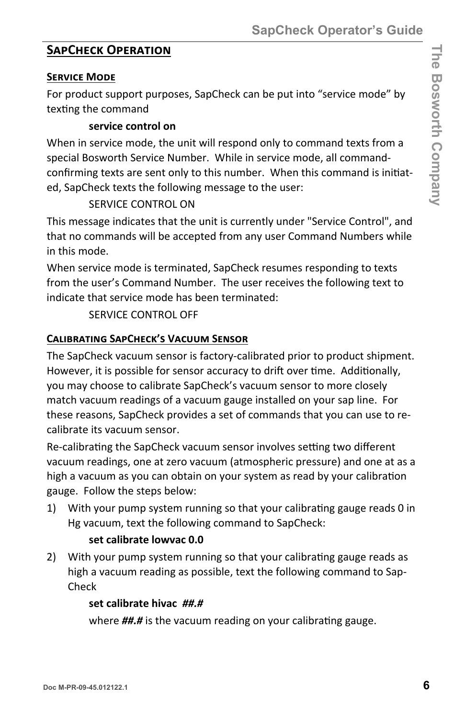#### **SAPCHECK OPERATION**

#### **SERVICE MODE**

For product support purposes, SapCheck can be put into "service mode" by texting the command

#### service control on

When in service mode, the unit will respond only to command texts from a special Bosworth Service Number. While in service mode, all commandconfirming texts are sent only to this number. When this command is initiated, SapCheck texts the following message to the user:

#### SERVICE CONTROL ON

This message indicates that the unit is currently under "Service Control", and that no commands will be accepted from any user Command Numbers while in this mode.

When service mode is terminated, SapCheck resumes responding to texts from the user's Command Number. The user receives the following text to indicate that service mode has been terminated:

#### SERVICE CONTROL OFF

#### **CALIBRATING SAPCHECK'S VACUUM SENSOR**

The SapCheck vacuum sensor is factory-calibrated prior to product shipment. However, it is possible for sensor accuracy to drift over time. Additionally, you may choose to calibrate SapCheck's vacuum sensor to more closely match vacuum readings of a vacuum gauge installed on your sap line. For these reasons, SapCheck provides a set of commands that you can use to recalibrate its vacuum sensor.

Re-calibrating the SapCheck vacuum sensor involves setting two different vacuum readings, one at zero vacuum (atmospheric pressure) and one at as a high a vacuum as you can obtain on your system as read by your calibration gauge. Follow the steps below:

 $1)$ With your pump system running so that your calibrating gauge reads 0 in Hg vacuum, text the following command to SapCheck:

#### set calibrate lowvac 0.0

2) With your pump system running so that your calibrating gauge reads as high a vacuum reading as possible, text the following command to Sap-Check

#### set calibrate hivac ##.#

where **##.#** is the vacuum reading on your calibrating gauge.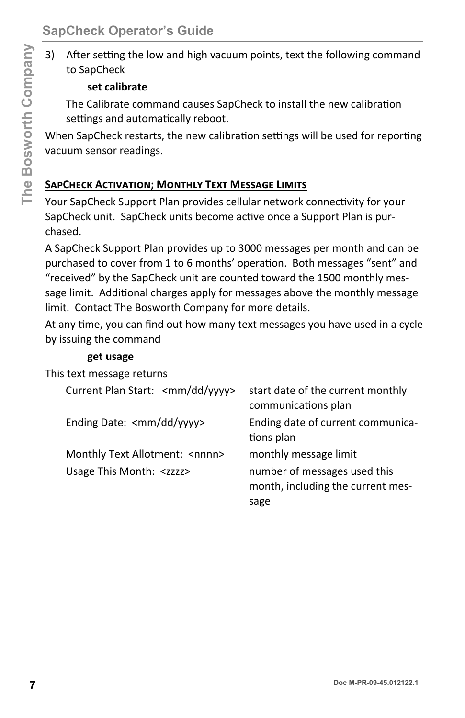$3)$ After setting the low and high vacuum points, text the following command to SapCheck

#### set calibrate

The Calibrate command causes SapCheck to install the new calibration settings and automatically reboot.

When SapCheck restarts, the new calibration settings will be used for reporting vacuum sensor readings.

#### **SAPCHECK ACTIVATION; MONTHLY TEXT MESSAGE LIMITS**

Your SapCheck Support Plan provides cellular network connectivity for your SapCheck unit. SapCheck units become active once a Support Plan is purchased.

A SapCheck Support Plan provides up to 3000 messages per month and can be purchased to cover from 1 to 6 months' operation. Both messages "sent" and "received" by the SapCheck unit are counted toward the 1500 monthly message limit. Additional charges apply for messages above the monthly message limit. Contact The Bosworth Company for more details.

At any time, you can find out how many text messages you have used in a cycle by issuing the command

#### get usage

This text message returns

| Current Plan Start: <mm dd="" yyyy=""></mm> | start date of the current monthly<br>communications plan                  |
|---------------------------------------------|---------------------------------------------------------------------------|
| Ending Date: <mm dd="" yyyy=""></mm>        | Ending date of current communica-<br>tions plan                           |
| Monthly Text Allotment: < nnnn>             | monthly message limit                                                     |
| Usage This Month: <zzzz></zzzz>             | number of messages used this<br>month, including the current mes-<br>sage |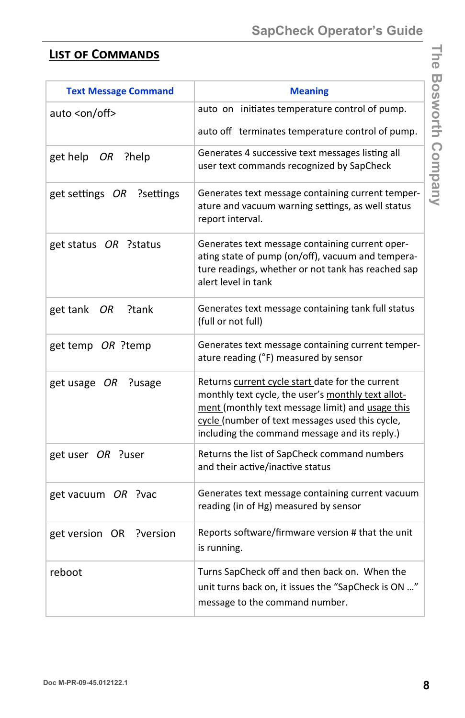## **LIST OF COMMANDS**

| <b>Text Message Command</b> | <b>Meaning</b>                                                                                                                                                                                                                                                 |
|-----------------------------|----------------------------------------------------------------------------------------------------------------------------------------------------------------------------------------------------------------------------------------------------------------|
| auto <on off=""></on>       | auto on initiates temperature control of pump.                                                                                                                                                                                                                 |
|                             | auto off terminates temperature control of pump.                                                                                                                                                                                                               |
| get help<br>?help<br>OR     | Generates 4 successive text messages listing all<br>user text commands recognized by SapCheck                                                                                                                                                                  |
| get settings OR ?settings   | Generates text message containing current temper-<br>ature and vacuum warning settings, as well status<br>report interval.                                                                                                                                     |
| get status OR ?status       | Generates text message containing current oper-<br>ating state of pump (on/off), vacuum and tempera-<br>ture readings, whether or not tank has reached sap<br>alert level in tank                                                                              |
| get tank<br>?tank<br>OR     | Generates text message containing tank full status<br>(full or not full)                                                                                                                                                                                       |
| get temp OR ?temp           | Generates text message containing current temper-<br>ature reading (°F) measured by sensor                                                                                                                                                                     |
| ?usage<br>get usage OR      | Returns current cycle start date for the current<br>monthly text cycle, the user's monthly text allot-<br>ment (monthly text message limit) and usage this<br>cycle (number of text messages used this cycle,<br>including the command message and its reply.) |
| get user OR ?user           | Returns the list of SapCheck command numbers<br>and their active/inactive status                                                                                                                                                                               |
| get vacuum OR ?vac          | Generates text message containing current vacuum<br>reading (in of Hg) measured by sensor                                                                                                                                                                      |
| get version OR<br>?version  | Reports software/firmware version # that the unit<br>is running.                                                                                                                                                                                               |
| reboot                      | Turns SapCheck off and then back on. When the<br>unit turns back on, it issues the "SapCheck is ON "<br>message to the command number.                                                                                                                         |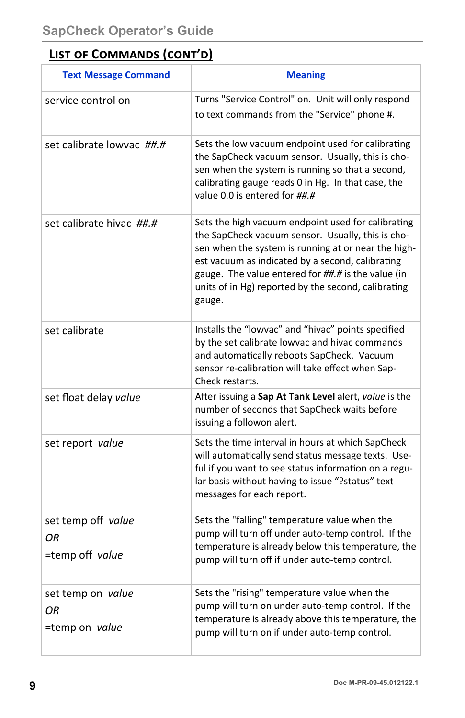## **LIST OF COMMANDS (CONT'D)**

| <b>Text Message Command</b>                 | <b>Meaning</b>                                                                                                                                                                                                                                                                                                                            |
|---------------------------------------------|-------------------------------------------------------------------------------------------------------------------------------------------------------------------------------------------------------------------------------------------------------------------------------------------------------------------------------------------|
| service control on                          | Turns "Service Control" on. Unit will only respond<br>to text commands from the "Service" phone #.                                                                                                                                                                                                                                        |
| set calibrate lowvac ##.#                   | Sets the low vacuum endpoint used for calibrating<br>the SapCheck vacuum sensor. Usually, this is cho-<br>sen when the system is running so that a second,<br>calibrating gauge reads 0 in Hg. In that case, the<br>value 0.0 is entered for ##.#                                                                                         |
| set calibrate hivac ##.#                    | Sets the high vacuum endpoint used for calibrating<br>the SapCheck vacuum sensor. Usually, this is cho-<br>sen when the system is running at or near the high-<br>est vacuum as indicated by a second, calibrating<br>gauge. The value entered for ##.# is the value (in<br>units of in Hg) reported by the second, calibrating<br>gauge. |
| set calibrate                               | Installs the "lowvac" and "hivac" points specified<br>by the set calibrate lowvac and hivac commands<br>and automatically reboots SapCheck. Vacuum<br>sensor re-calibration will take effect when Sap-<br>Check restarts.                                                                                                                 |
| set float delay value                       | After issuing a Sap At Tank Level alert, value is the<br>number of seconds that SapCheck waits before<br>issuing a followon alert.                                                                                                                                                                                                        |
| set report value                            | Sets the time interval in hours at which SapCheck<br>will automatically send status message texts. Use-<br>ful if you want to see status information on a regu-<br>lar basis without having to issue "?status" text<br>messages for each report.                                                                                          |
| set temp off value<br>ΟR<br>=temp off value | Sets the "falling" temperature value when the<br>pump will turn off under auto-temp control. If the<br>temperature is already below this temperature, the<br>pump will turn off if under auto-temp control.                                                                                                                               |
| set temp on value<br>ΟR<br>=temp on value   | Sets the "rising" temperature value when the<br>pump will turn on under auto-temp control. If the<br>temperature is already above this temperature, the<br>pump will turn on if under auto-temp control.                                                                                                                                  |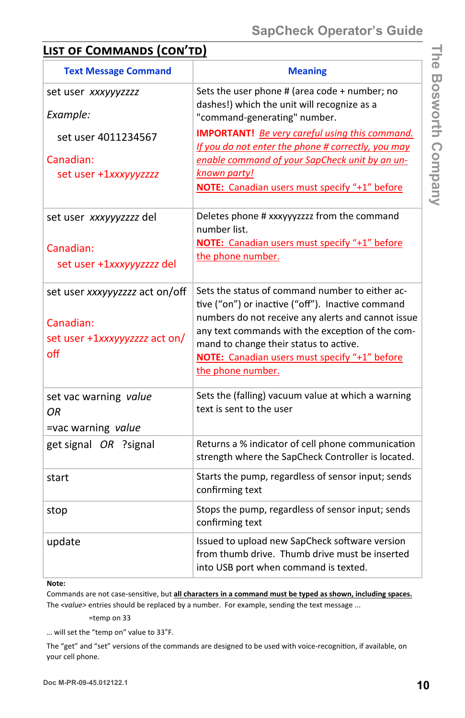## **LIST OF COMMANDS (CON'TD)**

| <b>Text Message Command</b>                                                         | <b>Meaning</b>                                                                                                                                                                                                                                                                                                                 |
|-------------------------------------------------------------------------------------|--------------------------------------------------------------------------------------------------------------------------------------------------------------------------------------------------------------------------------------------------------------------------------------------------------------------------------|
| set user xxxyyyzzzz<br>Example:                                                     | Sets the user phone # (area code + number; no<br>dashes!) which the unit will recognize as a<br>"command-generating" number.                                                                                                                                                                                                   |
| set user 4011234567<br>Canadian:<br>set user +1xxxyyyzzzz                           | <b>IMPORTANT!</b> Be very careful using this command.<br>If you do not enter the phone # correctly, you may<br>enable command of your SapCheck unit by an un-<br>known party!<br>NOTE: Canadian users must specify "+1" before                                                                                                 |
| set user xxxyyyzzzz del<br>Canadian:<br>set user +1xxxyyyzzzz del                   | Deletes phone # xxxyyyzzzz from the command<br>number list.<br><b>NOTE:</b> Canadian users must specify "+1" before<br>the phone number.                                                                                                                                                                                       |
| set user xxxyyyzzzz act on/off<br>Canadian:<br>set user +1xxxyyyzzzz act on/<br>off | Sets the status of command number to either ac-<br>tive ("on") or inactive ("off"). Inactive command<br>numbers do not receive any alerts and cannot issue<br>any text commands with the exception of the com-<br>mand to change their status to active.<br>NOTE: Canadian users must specify "+1" before<br>the phone number. |
| set vac warning value<br>ΟR<br>=vac warning value                                   | Sets the (falling) vacuum value at which a warning<br>text is sent to the user                                                                                                                                                                                                                                                 |
| get signal OR ?signal                                                               | Returns a % indicator of cell phone communication<br>strength where the SapCheck Controller is located.                                                                                                                                                                                                                        |
| start                                                                               | Starts the pump, regardless of sensor input; sends<br>confirming text                                                                                                                                                                                                                                                          |
| stop                                                                                | Stops the pump, regardless of sensor input; sends<br>confirming text                                                                                                                                                                                                                                                           |
| update                                                                              | Issued to upload new SapCheck software version<br>from thumb drive. Thumb drive must be inserted<br>into USB port when command is texted.                                                                                                                                                                                      |

#### **Note:**

Commands are not case-sensitive, but all characters in a command must be typed as shown, including spaces. The *<value>* entries should be replaced by a number. For example, sending the text message ...

=temp on 33

… will set the "temp on" value to 33°F.

The "get" and "set" versions of the commands are designed to be used with voice-recognition, if available, on your cell phone.

**The Bosworth Company** 

The Bosworth Company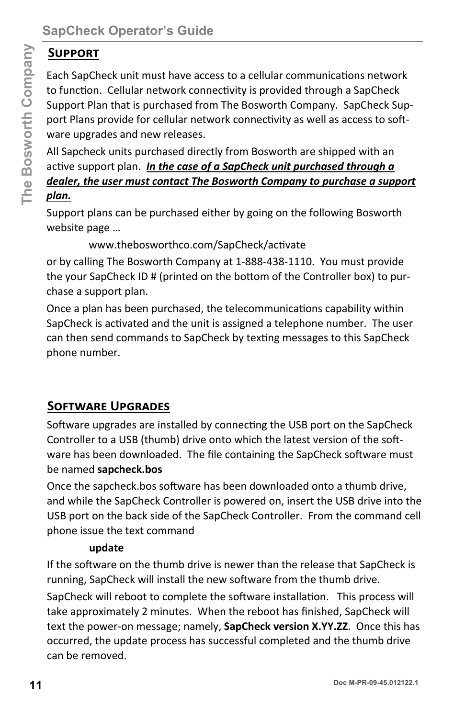## **SUPPORT**

Each SapCheck unit must have access to a cellular communications network to function. Cellular network connectivity is provided through a SapCheck Support Plan that is purchased from The Bosworth Company. SapCheck Sup‐ port Plans provide for cellular network connectivity as well as access to software upgrades and new releases.

All Sapcheck units purchased directly from Bosworth are shipped with an active support plan. *In the case of a SapCheck unit purchased through a dealer, the user must contact The Bosworth Company to purchase a support plan.*

Support plans can be purchased either by going on the following Bosworth website page …

www.thebosworthco.com/SapCheck/activate

or by calling The Bosworth Company at 1‐888‐438‐1110. You must provide the your SapCheck ID # (printed on the bottom of the Controller box) to purchase a support plan.

Once a plan has been purchased, the telecommunications capability within SapCheck is activated and the unit is assigned a telephone number. The user can then send commands to SapCheck by texting messages to this SapCheck phone number.

## **SOFTWARE UPGRADES**

Software upgrades are installed by connecting the USB port on the SapCheck Controller to a USB (thumb) drive onto which the latest version of the software has been downloaded. The file containing the SapCheck software must be named **sapcheck.bos**

Once the sapcheck.bos software has been downloaded onto a thumb drive, and while the SapCheck Controller is powered on, insert the USB drive into the USB port on the back side of the SapCheck Controller. From the command cell phone issue the text command

#### **update**

If the software on the thumb drive is newer than the release that SapCheck is running, SapCheck will install the new software from the thumb drive.

**14 Supprorest**<br> **Example the Sanchapeter winter must have access to a cellular communications network<br>
to function. Cellular network connectivity is provided through a SapCheck<br>
Lo function. Cellular network connectivity** SapCheck will reboot to complete the software installation. This process will take approximately 2 minutes. When the reboot has finished, SapCheck will text the power‐on message; namely, **SapCheck version X.YY.ZZ**.Once this has occurred, the update process has successful completed and the thumb drive can be removed.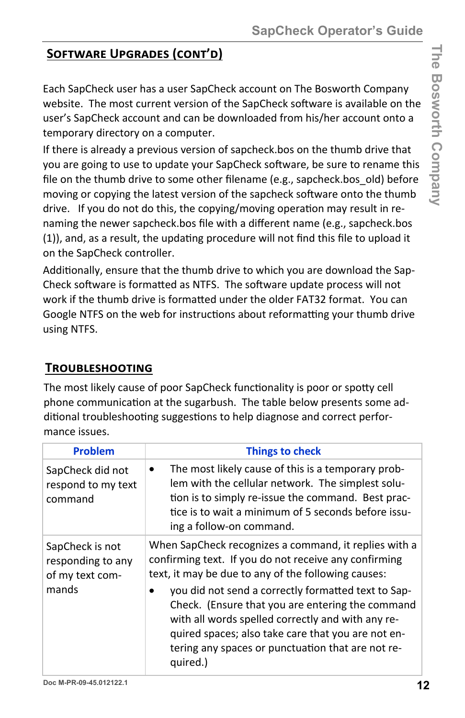## **SOFTWARE UPGRADES (CONT'D)**

Each SapCheck user has a user SapCheck account on The Bosworth Company website. The most current version of the SapCheck software is available on the user's SapCheck account and can be downloaded from his/her account onto a temporary directory on a computer.

If there is already a previous version of sapcheck.bos on the thumb drive that you are going to use to update your SapCheck software, be sure to rename this file on the thumb drive to some other filename (e.g., sapcheck.bos\_old) before moving or copying the latest version of the sapcheck software onto the thumb drive. If you do not do this, the copying/moving operation may result in renaming the newer sapcheck.bos file with a different name (e.g., sapcheck.bos (1)), and, as a result, the updating procedure will not find this file to upload it on the SapCheck controller.

Additionally, ensure that the thumb drive to which you are download the Sap-Check software is formatted as NTFS. The software update process will not work if the thumb drive is formatted under the older FAT32 format. You can Google NTFS on the web for instructions about reformatting your thumb drive using NTFS.

## **TROUBLESHOOTING**

The most likely cause of poor SapCheck functionality is poor or spotty cell phone communication at the sugarbush. The table below presents some additional troubleshooting suggestions to help diagnose and correct performance issues.

| <b>Problem</b>                                          | <b>Things to check</b>                                                                                                                                                                                                                                                              |
|---------------------------------------------------------|-------------------------------------------------------------------------------------------------------------------------------------------------------------------------------------------------------------------------------------------------------------------------------------|
| SapCheck did not<br>respond to my text<br>command       | The most likely cause of this is a temporary prob-<br>$\bullet$<br>lem with the cellular network. The simplest solu-<br>tion is to simply re-issue the command. Best prac-<br>tice is to wait a minimum of 5 seconds before issu-<br>ing a follow-on command.                       |
| SapCheck is not<br>responding to any<br>of my text com- | When SapCheck recognizes a command, it replies with a<br>confirming text. If you do not receive any confirming<br>text, it may be due to any of the following causes:                                                                                                               |
| mands                                                   | you did not send a correctly formatted text to Sap-<br>Check. (Ensure that you are entering the command<br>with all words spelled correctly and with any re-<br>quired spaces; also take care that you are not en-<br>tering any spaces or punctuation that are not re-<br>quired.) |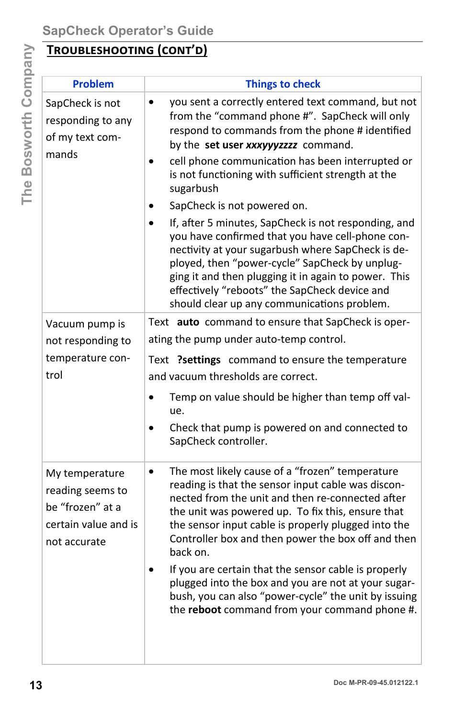## TROUBLESHOOTING (CONT'D)

| <b>Problem</b>                                                                                 | <b>Things to check</b>                                                                                                                                                                                                                                                                                                                                                                                                                                                                                                                                          |
|------------------------------------------------------------------------------------------------|-----------------------------------------------------------------------------------------------------------------------------------------------------------------------------------------------------------------------------------------------------------------------------------------------------------------------------------------------------------------------------------------------------------------------------------------------------------------------------------------------------------------------------------------------------------------|
| SapCheck is not<br>responding to any<br>of my text com-<br>mands                               | you sent a correctly entered text command, but not<br>$\bullet$<br>from the "command phone #". SapCheck will only<br>respond to commands from the phone # identified<br>by the set user xxxyyyzzzz command.<br>cell phone communication has been interrupted or<br>$\bullet$<br>is not functioning with sufficient strength at the<br>sugarbush                                                                                                                                                                                                                 |
|                                                                                                | SapCheck is not powered on.                                                                                                                                                                                                                                                                                                                                                                                                                                                                                                                                     |
|                                                                                                | If, after 5 minutes, SapCheck is not responding, and<br>you have confirmed that you have cell-phone con-<br>nectivity at your sugarbush where SapCheck is de-<br>ployed, then "power-cycle" SapCheck by unplug-<br>ging it and then plugging it in again to power. This<br>effectively "reboots" the SapCheck device and<br>should clear up any communications problem.                                                                                                                                                                                         |
| Vacuum pump is                                                                                 | Text auto command to ensure that SapCheck is oper-                                                                                                                                                                                                                                                                                                                                                                                                                                                                                                              |
| not responding to                                                                              | ating the pump under auto-temp control.                                                                                                                                                                                                                                                                                                                                                                                                                                                                                                                         |
| temperature con-                                                                               | Text ?settings command to ensure the temperature                                                                                                                                                                                                                                                                                                                                                                                                                                                                                                                |
| trol                                                                                           | and vacuum thresholds are correct.                                                                                                                                                                                                                                                                                                                                                                                                                                                                                                                              |
|                                                                                                | Temp on value should be higher than temp off val-<br>ue.                                                                                                                                                                                                                                                                                                                                                                                                                                                                                                        |
|                                                                                                | Check that pump is powered on and connected to<br>$\bullet$<br>SapCheck controller.                                                                                                                                                                                                                                                                                                                                                                                                                                                                             |
| My temperature<br>reading seems to<br>be "frozen" at a<br>certain value and is<br>not accurate | The most likely cause of a "frozen" temperature<br>reading is that the sensor input cable was discon-<br>nected from the unit and then re-connected after<br>the unit was powered up. To fix this, ensure that<br>the sensor input cable is properly plugged into the<br>Controller box and then power the box off and then<br>back on.<br>If you are certain that the sensor cable is properly<br>plugged into the box and you are not at your sugar-<br>bush, you can also "power-cycle" the unit by issuing<br>the reboot command from your command phone #. |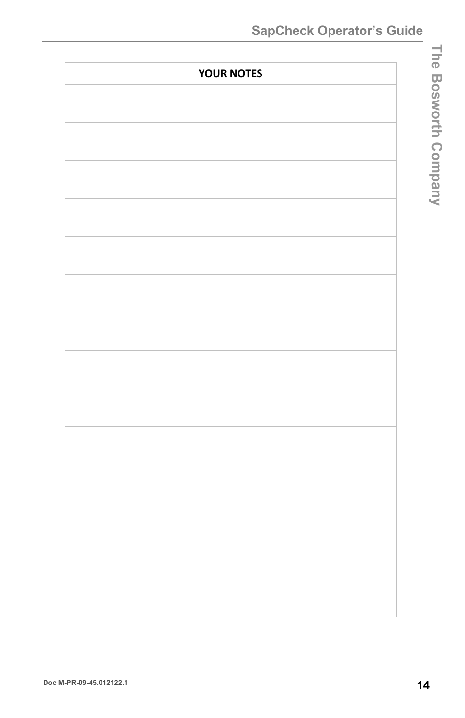| <b>YOUR NOTES</b> |  |  |
|-------------------|--|--|
|                   |  |  |
|                   |  |  |
|                   |  |  |
|                   |  |  |
|                   |  |  |
|                   |  |  |
|                   |  |  |
|                   |  |  |
|                   |  |  |
|                   |  |  |
|                   |  |  |
|                   |  |  |
|                   |  |  |
|                   |  |  |
|                   |  |  |
|                   |  |  |
|                   |  |  |
|                   |  |  |
|                   |  |  |
|                   |  |  |
|                   |  |  |
|                   |  |  |
|                   |  |  |